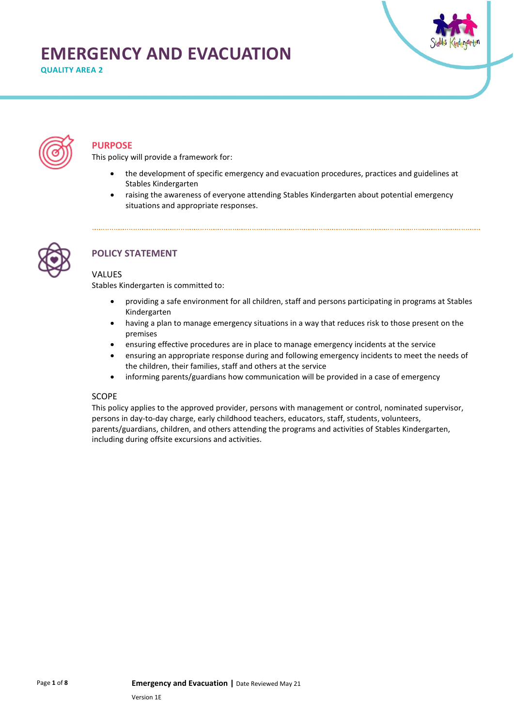# **EMERGENCY AND EVACUATION**

**QUALITY AREA 2**





### **PURPOSE**

This policy will provide a framework for:

- the development of specific emergency and evacuation procedures, practices and guidelines at Stables Kindergarten
- raising the awareness of everyone attending Stables Kindergarten about potential emergency situations and appropriate responses.



### **POLICY STATEMENT**

#### **VALUES**

Stables Kindergarten is committed to:

- providing a safe environment for all children, staff and persons participating in programs at Stables Kindergarten
- having a plan to manage emergency situations in a way that reduces risk to those present on the premises
- ensuring effective procedures are in place to manage emergency incidents at the service
- ensuring an appropriate response during and following emergency incidents to meet the needs of the children, their families, staff and others at the service
- informing parents/guardians how communication will be provided in a case of emergency

#### **SCOPE**

This policy applies to the approved provider, persons with management or control, nominated supervisor, persons in day-to-day charge, early childhood teachers, educators, staff, students, volunteers, parents/guardians, children, and others attending the programs and activities of Stables Kindergarten, including during offsite excursions and activities.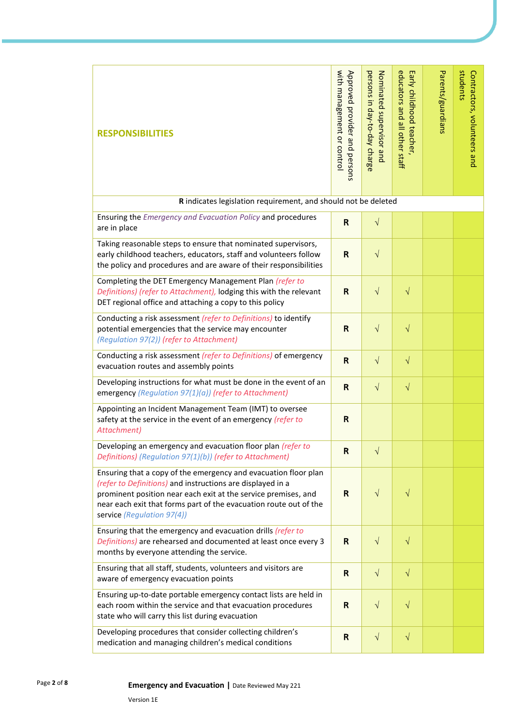| <b>RESPONSIBILITIES</b>                                                                                                                                                                                                                                                                            | with management or control<br>Approved provider and persons | persons in day-to-day charge<br>Nominated supervisor and | educators and all other staff<br>Early childhood teacher, | Parents/guardians | students<br>Contractors, volunteers and |
|----------------------------------------------------------------------------------------------------------------------------------------------------------------------------------------------------------------------------------------------------------------------------------------------------|-------------------------------------------------------------|----------------------------------------------------------|-----------------------------------------------------------|-------------------|-----------------------------------------|
| R indicates legislation requirement, and should not be deleted                                                                                                                                                                                                                                     |                                                             |                                                          |                                                           |                   |                                         |
| Ensuring the Emergency and Evacuation Policy and procedures<br>are in place                                                                                                                                                                                                                        | R                                                           | $\sqrt{}$                                                |                                                           |                   |                                         |
| Taking reasonable steps to ensure that nominated supervisors,<br>early childhood teachers, educators, staff and volunteers follow<br>the policy and procedures and are aware of their responsibilities                                                                                             | R                                                           | $\sqrt{}$                                                |                                                           |                   |                                         |
| Completing the DET Emergency Management Plan (refer to<br>Definitions) (refer to Attachment), lodging this with the relevant<br>DET regional office and attaching a copy to this policy                                                                                                            | $\mathsf{R}$                                                | $\sqrt{}$                                                | $\sqrt{}$                                                 |                   |                                         |
| Conducting a risk assessment (refer to Definitions) to identify<br>potential emergencies that the service may encounter<br>(Regulation 97(2)) (refer to Attachment)                                                                                                                                | R                                                           | $\sqrt{ }$                                               | $\sqrt{}$                                                 |                   |                                         |
| Conducting a risk assessment (refer to Definitions) of emergency<br>evacuation routes and assembly points                                                                                                                                                                                          | R                                                           | $\sqrt{}$                                                | $\sqrt{}$                                                 |                   |                                         |
| Developing instructions for what must be done in the event of an<br>emergency (Regulation 97(1)(a)) (refer to Attachment)                                                                                                                                                                          | R                                                           | $\sqrt{}$                                                | $\sqrt{}$                                                 |                   |                                         |
| Appointing an Incident Management Team (IMT) to oversee<br>safety at the service in the event of an emergency (refer to<br>Attachment)                                                                                                                                                             | R                                                           |                                                          |                                                           |                   |                                         |
| Developing an emergency and evacuation floor plan (refer to<br>Definitions) (Regulation 97(1)(b)) (refer to Attachment)                                                                                                                                                                            | $\mathsf{R}$                                                | $\sqrt{}$                                                |                                                           |                   |                                         |
| Ensuring that a copy of the emergency and evacuation floor plan<br>(refer to Definitions) and instructions are displayed in a<br>prominent position near each exit at the service premises, and<br>near each exit that forms part of the evacuation route out of the<br>service (Regulation 97(4)) | $\mathsf{R}$                                                | $\sqrt{}$                                                | $\sqrt{}$                                                 |                   |                                         |
| Ensuring that the emergency and evacuation drills (refer to<br>Definitions) are rehearsed and documented at least once every 3<br>months by everyone attending the service.                                                                                                                        | R                                                           | $\sqrt{}$                                                | $\sqrt{}$                                                 |                   |                                         |
| Ensuring that all staff, students, volunteers and visitors are<br>aware of emergency evacuation points                                                                                                                                                                                             | R                                                           | $\sqrt{}$                                                | $\sqrt{}$                                                 |                   |                                         |
| Ensuring up-to-date portable emergency contact lists are held in<br>each room within the service and that evacuation procedures<br>state who will carry this list during evacuation                                                                                                                | $\mathsf{R}$                                                | $\sqrt{}$                                                | $\sqrt{}$                                                 |                   |                                         |
| Developing procedures that consider collecting children's<br>medication and managing children's medical conditions                                                                                                                                                                                 | $\mathsf{R}$                                                | $\sqrt{}$                                                | $\sqrt{}$                                                 |                   |                                         |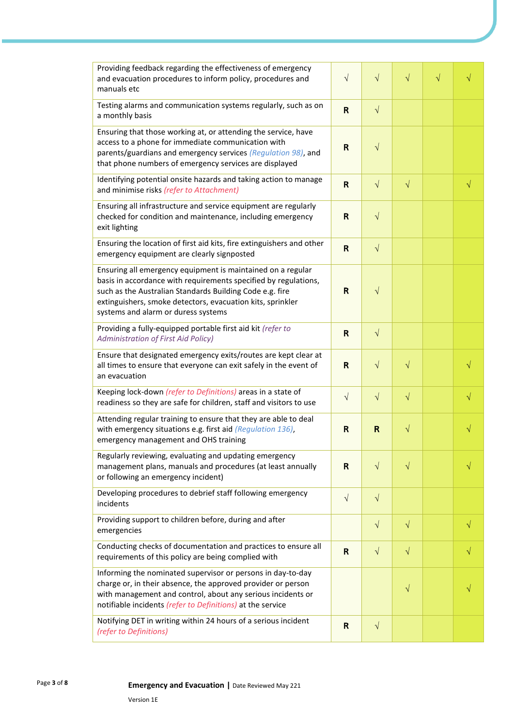| Providing feedback regarding the effectiveness of emergency<br>and evacuation procedures to inform policy, procedures and<br>manuals etc                                                                                                                                                        | $\sqrt{ }$ | $\sqrt{}$    | $\sqrt{}$ | $\sqrt{}$ |           |
|-------------------------------------------------------------------------------------------------------------------------------------------------------------------------------------------------------------------------------------------------------------------------------------------------|------------|--------------|-----------|-----------|-----------|
| Testing alarms and communication systems regularly, such as on<br>a monthly basis                                                                                                                                                                                                               | R          | $\sqrt{}$    |           |           |           |
| Ensuring that those working at, or attending the service, have<br>access to a phone for immediate communication with<br>parents/guardians and emergency services (Regulation 98), and<br>that phone numbers of emergency services are displayed                                                 | R          | $\sqrt{}$    |           |           |           |
| Identifying potential onsite hazards and taking action to manage<br>and minimise risks (refer to Attachment)                                                                                                                                                                                    | R          | $\sqrt{ }$   | $\sqrt{}$ |           | $\sqrt{}$ |
| Ensuring all infrastructure and service equipment are regularly<br>checked for condition and maintenance, including emergency<br>exit lighting                                                                                                                                                  | R          | $\sqrt{}$    |           |           |           |
| Ensuring the location of first aid kits, fire extinguishers and other<br>emergency equipment are clearly signposted                                                                                                                                                                             | R          | $\sqrt{ }$   |           |           |           |
| Ensuring all emergency equipment is maintained on a regular<br>basis in accordance with requirements specified by regulations,<br>such as the Australian Standards Building Code e.g. fire<br>extinguishers, smoke detectors, evacuation kits, sprinkler<br>systems and alarm or duress systems | R          | $\sqrt{}$    |           |           |           |
| Providing a fully-equipped portable first aid kit (refer to<br><b>Administration of First Aid Policy)</b>                                                                                                                                                                                       | R          | $\sqrt{ }$   |           |           |           |
| Ensure that designated emergency exits/routes are kept clear at<br>all times to ensure that everyone can exit safely in the event of<br>an evacuation                                                                                                                                           | R          | $\sqrt{ }$   | $\sqrt{}$ |           |           |
| Keeping lock-down (refer to Definitions) areas in a state of<br>readiness so they are safe for children, staff and visitors to use                                                                                                                                                              | $\sqrt{}$  | $\sqrt{ }$   | $\sqrt{}$ |           | V         |
| Attending regular training to ensure that they are able to deal<br>with emergency situations e.g. first aid (Regulation 136),<br>emergency management and OHS training                                                                                                                          | R          | $\mathsf{R}$ | $\sqrt{}$ |           |           |
| Regularly reviewing, evaluating and updating emergency<br>management plans, manuals and procedures (at least annually<br>or following an emergency incident)                                                                                                                                    | R          | $\sqrt{ }$   | $\sqrt{}$ |           |           |
| Developing procedures to debrief staff following emergency<br>incidents                                                                                                                                                                                                                         | $\sqrt{ }$ | $\sqrt{}$    |           |           |           |
| Providing support to children before, during and after<br>emergencies                                                                                                                                                                                                                           |            | $\sqrt{ }$   | $\sqrt{}$ |           | √         |
| Conducting checks of documentation and practices to ensure all<br>requirements of this policy are being complied with                                                                                                                                                                           | R          | $\sqrt{}$    | $\sqrt{}$ |           |           |
| Informing the nominated supervisor or persons in day-to-day<br>charge or, in their absence, the approved provider or person<br>with management and control, about any serious incidents or<br>notifiable incidents (refer to Definitions) at the service                                        |            |              | $\sqrt{}$ |           |           |
| Notifying DET in writing within 24 hours of a serious incident<br>(refer to Definitions)                                                                                                                                                                                                        | R          | $\sqrt{ }$   |           |           |           |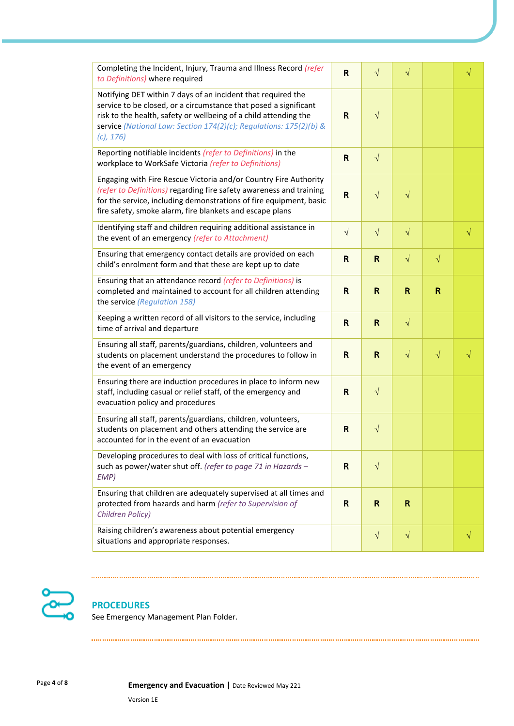| Completing the Incident, Injury, Trauma and Illness Record (refer<br>to Definitions) where required                                                                                                                                                                                        | R            | $\sqrt{}$    | $\sqrt{}$    |           | $\sqrt{}$ |
|--------------------------------------------------------------------------------------------------------------------------------------------------------------------------------------------------------------------------------------------------------------------------------------------|--------------|--------------|--------------|-----------|-----------|
| Notifying DET within 7 days of an incident that required the<br>service to be closed, or a circumstance that posed a significant<br>risk to the health, safety or wellbeing of a child attending the<br>service (National Law: Section 174(2)(c); Regulations: 175(2)(b) &<br>$(c)$ , 176) | R            | $\sqrt{}$    |              |           |           |
| Reporting notifiable incidents (refer to Definitions) in the<br>workplace to WorkSafe Victoria (refer to Definitions)                                                                                                                                                                      | R            | $\sqrt{ }$   |              |           |           |
| Engaging with Fire Rescue Victoria and/or Country Fire Authority<br>(refer to Definitions) regarding fire safety awareness and training<br>for the service, including demonstrations of fire equipment, basic<br>fire safety, smoke alarm, fire blankets and escape plans                  | $\mathsf{R}$ | $\sqrt{ }$   | $\sqrt{}$    |           |           |
| Identifying staff and children requiring additional assistance in<br>the event of an emergency (refer to Attachment)                                                                                                                                                                       | $\sqrt{ }$   | $\sqrt{ }$   | $\sqrt{}$    |           | $\sqrt{}$ |
| Ensuring that emergency contact details are provided on each<br>child's enrolment form and that these are kept up to date                                                                                                                                                                  | R            | $\mathsf{R}$ | $\sqrt{}$    | $\sqrt{}$ |           |
| Ensuring that an attendance record (refer to Definitions) is<br>completed and maintained to account for all children attending<br>the service (Regulation 158)                                                                                                                             | R            | $\mathsf{R}$ | $\mathsf{R}$ | R         |           |
| Keeping a written record of all visitors to the service, including<br>time of arrival and departure                                                                                                                                                                                        | R            | $\mathsf{R}$ | $\sqrt{}$    |           |           |
| Ensuring all staff, parents/guardians, children, volunteers and<br>students on placement understand the procedures to follow in<br>the event of an emergency                                                                                                                               | R            | $\mathsf{R}$ | $\sqrt{}$    | $\sqrt{}$ | $\sqrt{}$ |
| Ensuring there are induction procedures in place to inform new<br>staff, including casual or relief staff, of the emergency and<br>evacuation policy and procedures                                                                                                                        | R            | $\sqrt{ }$   |              |           |           |
| Ensuring all staff, parents/guardians, children, volunteers,<br>students on placement and others attending the service are<br>accounted for in the event of an evacuation                                                                                                                  | R            | $\sqrt{ }$   |              |           |           |
| Developing procedures to deal with loss of critical functions,<br>such as power/water shut off. (refer to page 71 in Hazards -<br>EMP)                                                                                                                                                     | R            | $\sqrt{}$    |              |           |           |
| Ensuring that children are adequately supervised at all times and<br>protected from hazards and harm (refer to Supervision of<br>Children Policy)                                                                                                                                          | R            | $\mathsf{R}$ | R.           |           |           |
| Raising children's awareness about potential emergency<br>situations and appropriate responses.                                                                                                                                                                                            |              | $\sqrt{ }$   | $\sqrt{}$    |           |           |



### **PROCEDURES**

See Emergency Management Plan Folder.

Page **<sup>4</sup>** of **<sup>8</sup> Emergency and Evacuation |** Date Reviewed May 221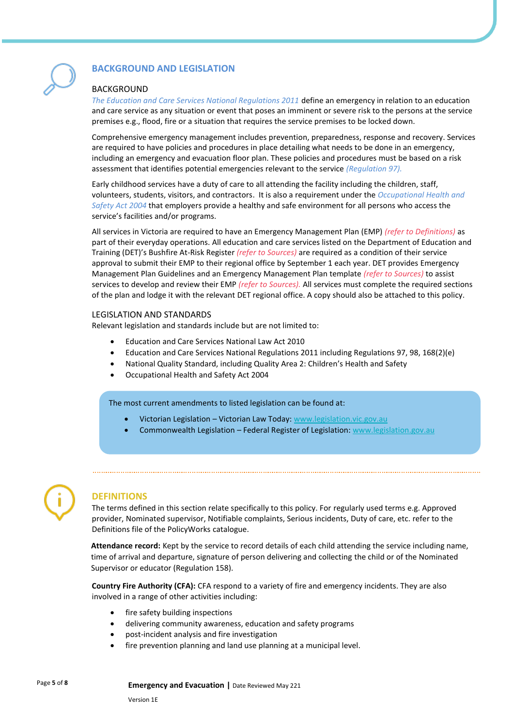

### **BACKGROUND AND LEGISLATION**

#### BACKGROUND

*The Education and Care Services National Regulations 2011* define an emergency in relation to an education and care service as any situation or event that poses an imminent or severe risk to the persons at the service premises e.g., flood, fire or a situation that requires the service premises to be locked down.

Comprehensive emergency management includes prevention, preparedness, response and recovery. Services are required to have policies and procedures in place detailing what needs to be done in an emergency, including an emergency and evacuation floor plan. These policies and procedures must be based on a risk assessment that identifies potential emergencies relevant to the service *(Regulation 97).*

Early childhood services have a duty of care to all attending the facility including the children, staff, volunteers, students, visitors, and contractors. It is also a requirement under the *Occupational Health and Safety Act 2004* that employers provide a healthy and safe environment for all persons who access the service's facilities and/or programs.

All services in Victoria are required to have an Emergency Management Plan (EMP) *(refer to Definitions)* as part of their everyday operations. All education and care services listed on the Department of Education and Training (DET)'s Bushfire At-Risk Register *(refer to Sources)* are required as a condition of their service approval to submit their EMP to their regional office by September 1 each year. DET provides Emergency Management Plan Guidelines and an Emergency Management Plan template *(refer to Sources)* to assist services to develop and review their EMP *(refer to Sources).* All services must complete the required sections of the plan and lodge it with the relevant DET regional office. A copy should also be attached to this policy.

#### LEGISLATION AND STANDARDS

Relevant legislation and standards include but are not limited to:

- Education and Care Services National Law Act 2010
- Education and Care Services National Regulations 2011 including Regulations 97, 98, 168(2)(e)
- National Quality Standard, including Quality Area 2: Children's Health and Safety
- Occupational Health and Safety Act 2004

The most current amendments to listed legislation can be found at:

- Victorian Legislation Victorian Law Today[: www.legislation.vic.gov.au](http://www.legislation.vic.gov.au/)
- Commonwealth Legislation Federal Register of Legislation: [www.legislation.gov.au](http://www.legislation.gov.au/)



### **DEFINITIONS**

The terms defined in this section relate specifically to this policy. For regularly used terms e.g. Approved provider, Nominated supervisor, Notifiable complaints, Serious incidents, Duty of care, etc. refer to the Definitions file of the PolicyWorks catalogue.

**Attendance record:** Kept by the service to record details of each child attending the service including name, time of arrival and departure, signature of person delivering and collecting the child or of the Nominated Supervisor or educator (Regulation 158).

**Country Fire Authority (CFA):** CFA respond to a variety of fire and emergency incidents. They are also involved in a range of other activities including:

- fire safety building inspections
- delivering community awareness, education and safety programs
- post-incident analysis and fire investigation
- fire prevention planning and land use planning at a municipal level.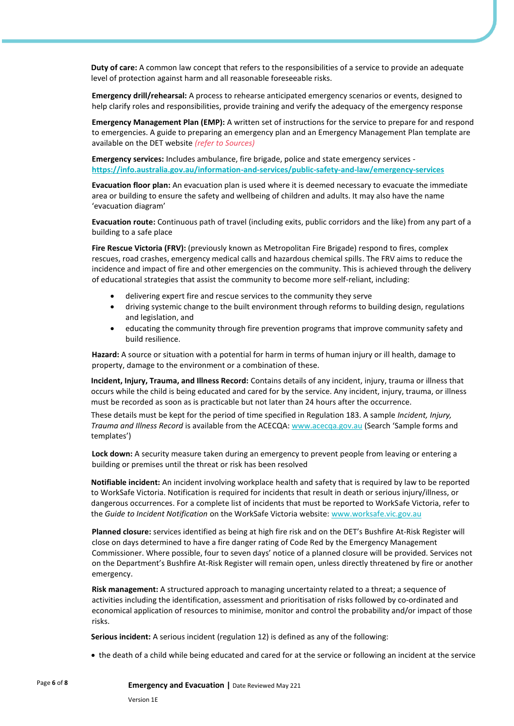**Duty of care:** A common law concept that refers to the responsibilities of a service to provide an adequate level of protection against harm and all reasonable foreseeable risks.

**Emergency drill/rehearsal:** A process to rehearse anticipated emergency scenarios or events, designed to help clarify roles and responsibilities, provide training and verify the adequacy of the emergency response

**Emergency Management Plan (EMP):** A written set of instructions for the service to prepare for and respond to emergencies. A guide to preparing an emergency plan and an Emergency Management Plan template are available on the DET website *(refer to Sources)*

**Emergency services:** Includes ambulance, fire brigade, police and state emergency services **<https://info.australia.gov.au/information-and-services/public-safety-and-law/emergency-services>**

**Evacuation floor plan:** An evacuation plan is used where it is deemed necessary to evacuate the immediate area or building to ensure the safety and wellbeing of children and adults. It may also have the name 'evacuation diagram'

**Evacuation route:** Continuous path of travel (including exits, public corridors and the like) from any part of a building to a safe place

**Fire Rescue Victoria (FRV):** (previously known as Metropolitan Fire Brigade) respond to fires, complex rescues, road crashes, emergency medical calls and hazardous chemical spills. The FRV aims to reduce the incidence and impact of fire and other emergencies on the community. This is achieved through the delivery of educational strategies that assist the community to become more self-reliant, including:

- delivering expert fire and rescue services to the community they serve
- driving systemic change to the built environment through reforms to building design, regulations and legislation, and
- educating the community through fire prevention programs that improve community safety and build resilience.

**Hazard:** A source or situation with a potential for harm in terms of human injury or ill health, damage to property, damage to the environment or a combination of these.

**Incident, Injury, Trauma, and Illness Record:** Contains details of any incident, injury, trauma or illness that occurs while the child is being educated and cared for by the service. Any incident, injury, trauma, or illness must be recorded as soon as is practicable but not later than 24 hours after the occurrence.

These details must be kept for the period of time specified in Regulation 183. A sample *Incident, Injury, Trauma and Illness Record* is available from the ACECQA: [www.acecqa.gov.au](http://www.acecqa.gov.au/) (Search 'Sample forms and templates')

**Lock down:** A security measure taken during an emergency to prevent people from leaving or entering a building or premises until the threat or risk has been resolved

**Notifiable incident:** An incident involving workplace health and safety that is required by law to be reported to WorkSafe Victoria. Notification is required for incidents that result in death or serious injury/illness, or dangerous occurrences. For a complete list of incidents that must be reported to WorkSafe Victoria, refer to the *Guide to Incident Notification* on the WorkSafe Victoria website: [www.worksafe.vic.gov.au](http://www.worksafe.vic.gov.au/)

**Planned closure:** services identified as being at high fire risk and on the DET's Bushfire At-Risk Register will close on days determined to have a fire danger rating of Code Red by the Emergency Management Commissioner. Where possible, four to seven days' notice of a planned closure will be provided. Services not on the Department's Bushfire At-Risk Register will remain open, unless directly threatened by fire or another emergency.

**Risk management:** A structured approach to managing uncertainty related to a threat; a sequence of activities including the identification, assessment and prioritisation of risks followed by co-ordinated and economical application of resources to minimise, monitor and control the probability and/or impact of those risks.

**Serious incident:** A serious incident (regulation 12) is defined as any of the following:

• the death of a child while being educated and cared for at the service or following an incident at the service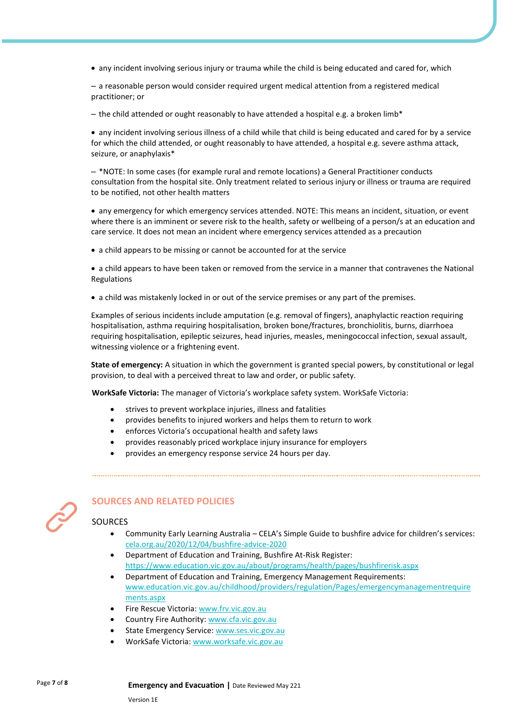• any incident involving serious injury or trauma while the child is being educated and cared for, which

– a reasonable person would consider required urgent medical attention from a registered medical practitioner; or

– the child attended or ought reasonably to have attended a hospital e.g. a broken limb\*

• any incident involving serious illness of a child while that child is being educated and cared for by a service for which the child attended, or ought reasonably to have attended, a hospital e.g. severe asthma attack, seizure, or anaphylaxis\*

– \*NOTE: In some cases (for example rural and remote locations) a General Practitioner conducts consultation from the hospital site. Only treatment related to serious injury or illness or trauma are required to be notified, not other health matters

• any emergency for which emergency services attended. NOTE: This means an incident, situation, or event where there is an imminent or severe risk to the health, safety or wellbeing of a person/s at an education and care service. It does not mean an incident where emergency services attended as a precaution

• a child appears to be missing or cannot be accounted for at the service

• a child appears to have been taken or removed from the service in a manner that contravenes the National Regulations

• a child was mistakenly locked in or out of the service premises or any part of the premises.

Examples of serious incidents include amputation (e.g. removal of fingers), anaphylactic reaction requiring hospitalisation, asthma requiring hospitalisation, broken bone/fractures, bronchiolitis, burns, diarrhoea requiring hospitalisation, epileptic seizures, head injuries, measles, meningococcal infection, sexual assault, witnessing violence or a frightening event.

**State of emergency:** A situation in which the government is granted special powers, by constitutional or legal provision, to deal with a perceived threat to law and order, or public safety.

**WorkSafe Victoria:** The manager of Victoria's workplace safety system. WorkSafe Victoria:

- strives to prevent workplace injuries, illness and fatalities
- provides benefits to injured workers and helps them to return to work
- enforces Victoria's occupational health and safety laws
- provides reasonably priced workplace injury insurance for employers
- provides an emergency response service 24 hours per day.



### **SOURCES AND RELATED POLICIES**

#### SOURCES

- Community Early Learning Australia CELA's Simple Guide to bushfire advice for children's services: [cela.org.au/2020/12/04/bushfire-advice-2020](https://www.cela.org.au/publications/amplify!-blog/dec-2020/bushfire-advice-2020)
- Department of Education and Training, Bushfire At-Risk Register: <https://www.education.vic.gov.au/about/programs/health/pages/bushfirerisk.aspx>

- Department of Education and Training, Emergency Management Requirements: [www.education.vic.gov.au/childhood/providers/regulation/Pages/emergencymanagementrequire](https://www.education.vic.gov.au/childhood/providers/regulation/Pages/emergencymanagementrequirements.aspx) [ments.aspx](https://www.education.vic.gov.au/childhood/providers/regulation/Pages/emergencymanagementrequirements.aspx)
- Fire Rescue Victoria[: www.frv.vic.gov.au](https://www.frv.vic.gov.au/)
- Country Fire Authority[: www.cfa.vic.gov.au](https://www.cfa.vic.gov.au/)
- State Emergency Service: [www.ses.vic.gov.au](https://www.ses.vic.gov.au/)
- WorkSafe Victoria[: www.worksafe.vic.gov.au](http://www.worksafe.vic.gov.au/)